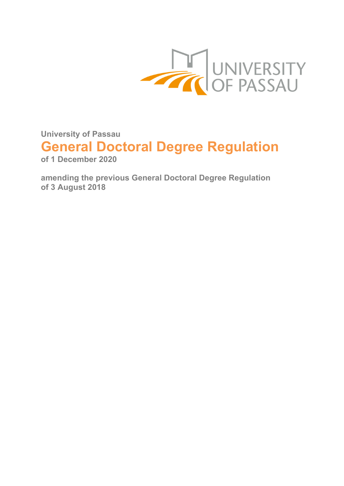

**University of Passau**

# **General Doctoral Degree Regulation**

**of 1 December 2020** 

**amending the previous General Doctoral Degree Regulation of 3 August 2018**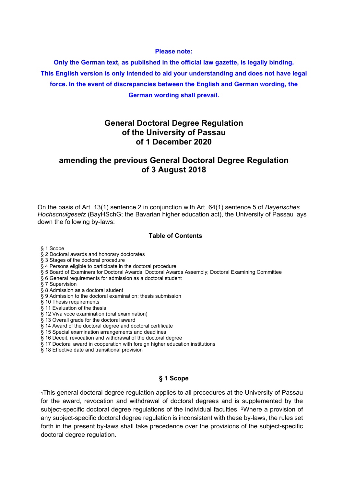#### **Please note:**

**Only the German text, as published in the official law gazette, is legally binding. This English version is only intended to aid your understanding and does not have legal force. In the event of discrepancies between the English and German wording, the German wording shall prevail.** 

## **General Doctoral Degree Regulation of the University of Passau of 1 December 2020**

## **amending the previous General Doctoral Degree Regulation of 3 August 2018**

On the basis of Art. 13(1) sentence 2 in conjunction with Art. 64(1) sentence 5 of *Bayerisches Hochschulgesetz* (BayHSchG; the Bavarian higher education act), the University of Passau lays down the following by-laws:

## **Table of Contents**

§ 1 Scope

#### § 2 Doctoral awards and honorary doctorates

§ 3 Stages of the doctoral procedure

#### § 4 Persons eligible to participate in the doctoral procedure

§ 5 Board of Examiners for Doctoral Awards; Doctoral Awards Assembly; Doctoral Examining Committee

§ 6 General requirements for admission as a doctoral student

- § 7 Supervision
- § 8 Admission as a doctoral student
- § 9 Admission to the doctoral examination; thesis submission
- § 10 Thesis requirements
- § 11 Evaluation of the thesis
- § 12 Viva voce examination (oral examination)
- § 13 Overall grade for the doctoral award
- § 14 Award of the doctoral degree and doctoral certificate
- § 15 Special examination arrangements and deadlines
- § 16 Deceit, revocation and withdrawal of the doctoral degree
- § 17 Doctoral award in cooperation with foreign higher education institutions
- § 18 Effective date and transitional provision

## **§ 1 Scope**

1This general doctoral degree regulation applies to all procedures at the University of Passau for the award, revocation and withdrawal of doctoral degrees and is supplemented by the subject-specific doctoral degree regulations of the individual faculties. 2Where a provision of any subject-specific doctoral degree regulation is inconsistent with these by-laws, the rules set forth in the present by-laws shall take precedence over the provisions of the subject-specific doctoral degree regulation.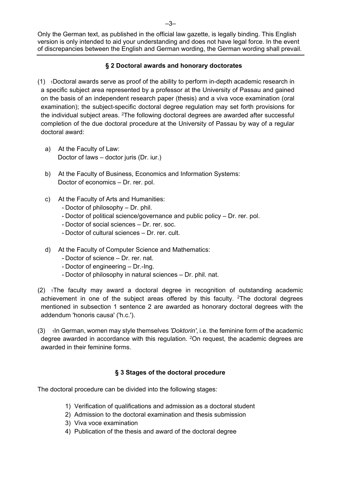–3–

Only the German text, as published in the official law gazette, is legally binding. This English version is only intended to aid your understanding and does not have legal force. In the event of discrepancies between the English and German wording, the German wording shall prevail.

## **§ 2 Doctoral awards and honorary doctorates**

 $(1)$  1Doctoral awards serve as proof of the ability to perform in-depth academic research in a specific subject area represented by a professor at the University of Passau and gained on the basis of an independent research paper (thesis) and a viva voce examination (oral examination); the subject-specific doctoral degree regulation may set forth provisions for the individual subject areas. 2The following doctoral degrees are awarded after successful completion of the due doctoral procedure at the University of Passau by way of a regular doctoral award:

- a) At the Faculty of Law: Doctor of laws – doctor juris (Dr. iur.)
- b) At the Faculty of Business, Economics and Information Systems: Doctor of economics – Dr. rer. pol.
- c) At the Faculty of Arts and Humanities:
	- Doctor of philosophy Dr. phil.
	- Doctor of political science/governance and public policy Dr. rer. pol.
	- Doctor of social sciences Dr. rer. soc.
	- Doctor of cultural sciences Dr. rer. cult.
- d) At the Faculty of Computer Science and Mathematics:
	- Doctor of science Dr. rer. nat.
	- Doctor of engineering Dr.-Ing.
	- Doctor of philosophy in natural sciences Dr. phil. nat.

(2) 1The faculty may award a doctoral degree in recognition of outstanding academic achievement in one of the subject areas offered by this faculty.  $2$ The doctoral degrees mentioned in subsection 1 sentence 2 are awarded as honorary doctoral degrees with the addendum 'honoris causa' ('h.c.').

(3) 1In German, women may style themselves *'Doktorin'*, i.e. the feminine form of the academic degree awarded in accordance with this regulation. 2On request, the academic degrees are awarded in their feminine forms.

## **§ 3 Stages of the doctoral procedure**

The doctoral procedure can be divided into the following stages:

- 1) Verification of qualifications and admission as a doctoral student
- 2) Admission to the doctoral examination and thesis submission
- 3) Viva voce examination
- 4) Publication of the thesis and award of the doctoral degree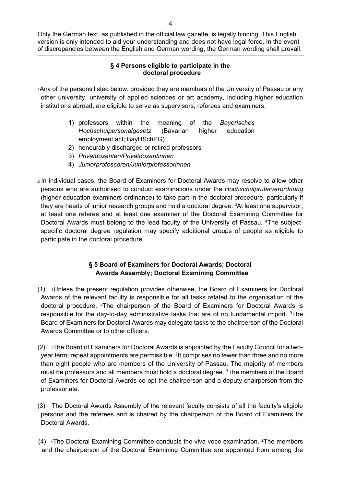## **§ 4 Persons eligible to participate in the doctoral procedure**

1Any of the persons listed below, provided they are members of the University of Passau or any other university, university of applied sciences or art academy, including higher education institutions abroad, are eligible to serve as supervisors, referees and examiners:

- 1) professors within the meaning of the *Bayerisches Hochschulpersonalgesetz* (Bavarian higher education employment act; BayHSchPG)
- 2) honourably discharged or retired professors
- 3) *Privatdozenten/Privatdozentinnen*
- 4) *Juniorprofessoren/Juniorprofessorinnen*
- 2 In individual cases, the Board of Examiners for Doctoral Awards may resolve to allow other persons who are authorised to conduct examinations under the *Hochschulprüferverordnung*  (higher education examiners ordinance) to take part in the doctoral procedure, particularly if they are heads of junior research groups and hold a doctoral degree. 3At least one supervisor, at least one referee and at least one examiner of the Doctoral Examining Committee for Doctoral Awards must belong to the lead faculty of the University of Passau. 4The subjectspecific doctoral degree regulation may specify additional groups of people as eligible to participate in the doctoral procedure.

## **§ 5 Board of Examiners for Doctoral Awards; Doctoral Awards Assembly; Doctoral Examining Committee**

- (1) 1Unless the present regulation provides otherwise, the Board of Examiners for Doctoral Awards of the relevant faculty is responsible for all tasks related to the organisation of the doctoral procedure. 2The chairperson of the Board of Examiners for Doctoral Awards is responsible for the day-to-day administrative tasks that are of no fundamental import. 3The Board of Examiners for Doctoral Awards may delegate tasks to the chairperson of the Doctoral Awards Committee or to other officers.
- $(2)$  1The Board of Examiners for Doctoral Awards is appointed by the Faculty Council for a twoyear term; repeat appointments are permissible. 2It comprises no fewer than three and no more than eight people who are members of the University of Passau. The majority of members must be professors and all members must hold a doctoral degree. 3The members of the Board of Examiners for Doctoral Awards co-opt the chairperson and a deputy chairperson from the professoriate.
- (3) The Doctoral Awards Assembly of the relevant faculty consists of all the faculty's eligible persons and the referees and is chaired by the chairperson of the Board of Examiners for Doctoral Awards.
- (4)  $1$ The Doctoral Examining Committee conducts the viva voce examination. <sup>2</sup>The members and the chairperson of the Doctoral Examining Committee are appointed from among the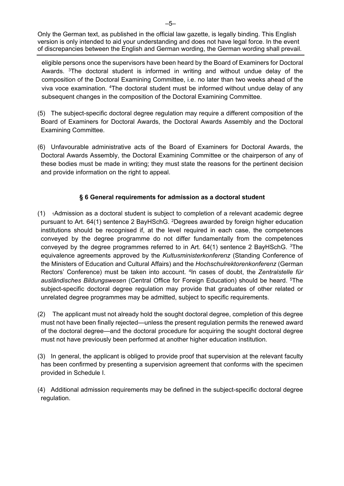eligible persons once the supervisors have been heard by the Board of Examiners for Doctoral Awards. 3The doctoral student is informed in writing and without undue delay of the composition of the Doctoral Examining Committee, i.e. no later than two weeks ahead of the viva voce examination. 4The doctoral student must be informed without undue delay of any subsequent changes in the composition of the Doctoral Examining Committee.

- (5) The subject-specific doctoral degree regulation may require a different composition of the Board of Examiners for Doctoral Awards, the Doctoral Awards Assembly and the Doctoral Examining Committee.
- (6) Unfavourable administrative acts of the Board of Examiners for Doctoral Awards, the Doctoral Awards Assembly, the Doctoral Examining Committee or the chairperson of any of these bodies must be made in writing; they must state the reasons for the pertinent decision and provide information on the right to appeal.

## **§ 6 General requirements for admission as a doctoral student**

- (1) 1Admission as a doctoral student is subject to completion of a relevant academic degree pursuant to Art. 64(1) sentence 2 BayHSchG. 2Degrees awarded by foreign higher education institutions should be recognised if, at the level required in each case, the competences conveyed by the degree programme do not differ fundamentally from the competences conveyed by the degree programmes referred to in Art.  $64(1)$  sentence 2 BayHSchG. <sup>3</sup>The equivalence agreements approved by the *Kultusministerkonferenz* (Standing Conference of the Ministers of Education and Cultural Affairs) and the *Hochschulrektorenkonferenz* (German Rectors' Conference) must be taken into account. 4In cases of doubt, the *Zentralstelle für ausländisches Bildungswesen* (Central Office for Foreign Education) should be heard. 5The subject-specific doctoral degree regulation may provide that graduates of other related or unrelated degree programmes may be admitted, subject to specific requirements.
- (2) The applicant must not already hold the sought doctoral degree, completion of this degree must not have been finally rejected—unless the present regulation permits the renewed award of the doctoral degree—and the doctoral procedure for acquiring the sought doctoral degree must not have previously been performed at another higher education institution.
- (3) In general, the applicant is obliged to provide proof that supervision at the relevant faculty has been confirmed by presenting a supervision agreement that conforms with the specimen provided in Schedule I.
- (4) Additional admission requirements may be defined in the subject-specific doctoral degree regulation.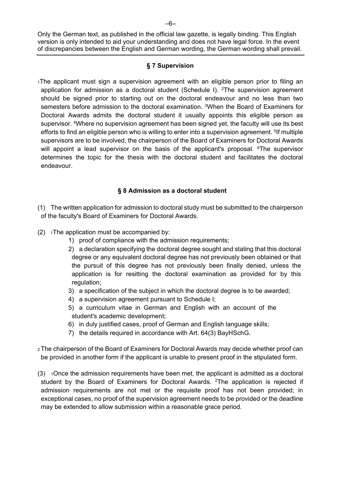#### **§ 7 Supervision**

1The applicant must sign a supervision agreement with an eligible person prior to filing an application for admission as a doctoral student (Schedule I). <sup>2</sup>The supervision agreement should be signed prior to starting out on the doctoral endeavour and no less than two semesters before admission to the doctoral examination. <sup>3</sup>When the Board of Examiners for Doctoral Awards admits the doctoral student it usually appoints this eligible person as supervisor. <sup>4</sup>Where no supervision agreement has been signed yet, the faculty will use its best efforts to find an eligible person who is willing to enter into a supervision agreement. <sup>5</sup>If multiple supervisors are to be involved, the chairperson of the Board of Examiners for Doctoral Awards will appoint a lead supervisor on the basis of the applicant's proposal. <sup>6</sup>The supervisor determines the topic for the thesis with the doctoral student and facilitates the doctoral endeavour.

## **§ 8 Admission as a doctoral student**

- (1) The written application for admission to doctoral study must be submitted to the chairperson of the faculty's Board of Examiners for Doctoral Awards.
- $(2)$  1The application must be accompanied by:
	- 1) proof of compliance with the admission requirements;
	- 2) a declaration specifying the doctoral degree sought and stating that this doctoral degree or any equivalent doctoral degree has not previously been obtained or that the pursuit of this degree has not previously been finally denied, unless the application is for resitting the doctoral examination as provided for by this regulation;
	- 3) a specification of the subject in which the doctoral degree is to be awarded;
	- 4) a supervision agreement pursuant to Schedule I;
	- 5) a curriculum vitae in German and English with an account of the student's academic development;
	- 6) in duly justified cases, proof of German and English language skills;
	- 7) the details required in accordance with Art. 64(3) BayHSchG.
- 2 The chairperson of the Board of Examiners for Doctoral Awards may decide whether proof can be provided in another form if the applicant is unable to present proof in the stipulated form.
- $(3)$  1Once the admission requirements have been met, the applicant is admitted as a doctoral student by the Board of Examiners for Doctoral Awards. <sup>2</sup>The application is rejected if admission requirements are not met or the requisite proof has not been provided; in exceptional cases, no proof of the supervision agreement needs to be provided or the deadline may be extended to allow submission within a reasonable grace period.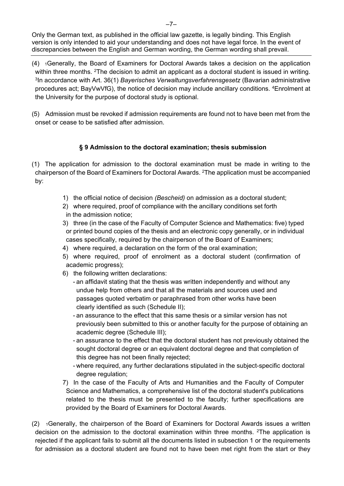- (4) 1Generally, the Board of Examiners for Doctoral Awards takes a decision on the application within three months. <sup>2</sup>The decision to admit an applicant as a doctoral student is issued in writing. 3In accordance with Art. 36(1) *Bayerisches Verwaltungsverfahrensgesetz* (Bavarian administrative procedures act; BayVwVfG), the notice of decision may include ancillary conditions. 4Enrolment at the University for the purpose of doctoral study is optional.
- (5) Admission must be revoked if admission requirements are found not to have been met from the onset or cease to be satisfied after admission.

## **§ 9 Admission to the doctoral examination; thesis submission**

- (1) The application for admission to the doctoral examination must be made in writing to the chairperson of the Board of Examiners for Doctoral Awards. 2The application must be accompanied by:
	- 1) the official notice of decision *(Bescheid)* on admission as a doctoral student;
	- 2) where required, proof of compliance with the ancillary conditions set forth
	- in the admission notice;
	- 3) three (in the case of the Faculty of Computer Science and Mathematics: five) typed or printed bound copies of the thesis and an electronic copy generally, or in individual cases specifically, required by the chairperson of the Board of Examiners;
	- 4) where required, a declaration on the form of the oral examination;
	- 5) where required, proof of enrolment as a doctoral student (confirmation of academic progress);
	- 6) the following written declarations:
		- an affidavit stating that the thesis was written independently and without any undue help from others and that all the materials and sources used and passages quoted verbatim or paraphrased from other works have been clearly identified as such (Schedule II);
		- an assurance to the effect that this same thesis or a similar version has not previously been submitted to this or another faculty for the purpose of obtaining an academic degree (Schedule III);
		- an assurance to the effect that the doctoral student has not previously obtained the sought doctoral degree or an equivalent doctoral degree and that completion of this degree has not been finally rejected;
		- where required, any further declarations stipulated in the subject-specific doctoral degree regulation;
	- 7) In the case of the Faculty of Arts and Humanities and the Faculty of Computer Science and Mathematics, a comprehensive list of the doctoral student's publications related to the thesis must be presented to the faculty; further specifications are provided by the Board of Examiners for Doctoral Awards.

 $(2)$  1 Generally, the chairperson of the Board of Examiners for Doctoral Awards issues a written decision on the admission to the doctoral examination within three months.  $2\text{The application is}$ rejected if the applicant fails to submit all the documents listed in subsection 1 or the requirements for admission as a doctoral student are found not to have been met right from the start or they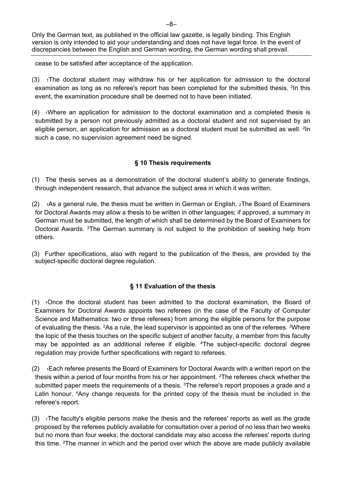cease to be satisfied after acceptance of the application.

- $(3)$  1The doctoral student may withdraw his or her application for admission to the doctoral examination as long as no referee's report has been completed for the submitted thesis. <sup>2</sup>In this event, the examination procedure shall be deemed not to have been initiated.
- $(4)$  1Where an application for admission to the doctoral examination and a completed thesis is submitted by a person not previously admitted as a doctoral student and not supervised by an eligible person, an application for admission as a doctoral student must be submitted as well. <sup>2</sup>In such a case, no supervision agreement need be signed.

## **§ 10 Thesis requirements**

- (1) The thesis serves as a demonstration of the doctoral student's ability to generate findings, through independent research, that advance the subject area in which it was written.
- $(2)$  1As a general rule, the thesis must be written in German or English. 2The Board of Examiners for Doctoral Awards may allow a thesis to be written in other languages; if approved, a summary in German must be submitted, the length of which shall be determined by the Board of Examiners for Doctoral Awards. 3The German summary is not subject to the prohibition of seeking help from others.
- (3) Further specifications, also with regard to the publication of the thesis, are provided by the subject-specific doctoral degree regulation.

## **§ 11 Evaluation of the thesis**

- (1) 1Once the doctoral student has been admitted to the doctoral examination, the Board of Examiners for Doctoral Awards appoints two referees (in the case of the Faculty of Computer Science and Mathematics: two or three referees) from among the eligible persons for the purpose of evaluating the thesis. 2As a rule, the lead supervisor is appointed as one of the referees. 3Where the topic of the thesis touches on the specific subject of another faculty, a member from this faculty may be appointed as an additional referee if eligible. 4The subject-specific doctoral degree regulation may provide further specifications with regard to referees.
- (2) 1Each referee presents the Board of Examiners for Doctoral Awards with a written report on the thesis within a period of four months from his or her appointment. 2The referees check whether the submitted paper meets the requirements of a thesis. <sup>3</sup>The referee's report proposes a grade and a Latin honour. <sup>4</sup>Any change requests for the printed copy of the thesis must be included in the referee's report.
- $(3)$  1The faculty's eligible persons make the thesis and the referees' reports as well as the grade proposed by the referees publicly available for consultation over a period of no less than two weeks but no more than four weeks; the doctoral candidate may also access the referees' reports during this time. 2The manner in which and the period over which the above are made publicly available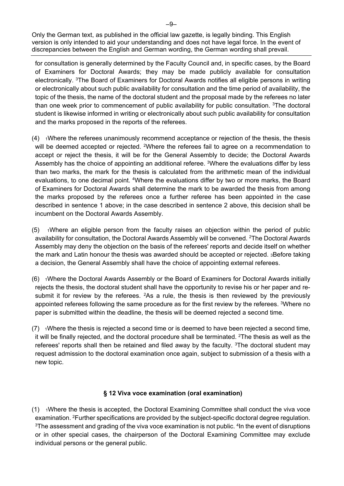for consultation is generally determined by the Faculty Council and, in specific cases, by the Board of Examiners for Doctoral Awards; they may be made publicly available for consultation electronically. 3The Board of Examiners for Doctoral Awards notifies all eligible persons in writing or electronically about such public availability for consultation and the time period of availability, the topic of the thesis, the name of the doctoral student and the proposal made by the referees no later than one week prior to commencement of public availability for public consultation. 3The doctoral student is likewise informed in writing or electronically about such public availability for consultation and the marks proposed in the reports of the referees.

- $(4)$   $\rightarrow$  1Where the referees unanimously recommend acceptance or rejection of the thesis, the thesis will be deemed accepted or rejected. <sup>2</sup>Where the referees fail to agree on a recommendation to accept or reject the thesis, it will be for the General Assembly to decide; the Doctoral Awards Assembly has the choice of appointing an additional referee. <sup>3</sup>Where the evaluations differ by less than two marks, the mark for the thesis is calculated from the arithmetic mean of the individual evaluations, to one decimal point. 4Where the evaluations differ by two or more marks, the Board of Examiners for Doctoral Awards shall determine the mark to be awarded the thesis from among the marks proposed by the referees once a further referee has been appointed in the case described in sentence 1 above; in the case described in sentence 2 above, this decision shall be incumbent on the Doctoral Awards Assembly.
- $(5)$   $\rightarrow$  1Where an eligible person from the faculty raises an objection within the period of public availability for consultation, the Doctoral Awards Assembly will be convened. 2The Doctoral Awards Assembly may deny the objection on the basis of the referees' reports and decide itself on whether the mark and Latin honour the thesis was awarded should be accepted or rejected. 3Before taking a decision, the General Assembly shall have the choice of appointing external referees.
- (6) 1Where the Doctoral Awards Assembly or the Board of Examiners for Doctoral Awards initially rejects the thesis, the doctoral student shall have the opportunity to revise his or her paper and resubmit it for review by the referees.  $2As$  a rule, the thesis is then reviewed by the previously appointed referees following the same procedure as for the first review by the referees. <sup>3</sup>Where no paper is submitted within the deadline, the thesis will be deemed rejected a second time.
- $(7)$   $\rightarrow$  Mhere the thesis is rejected a second time or is deemed to have been rejected a second time, it will be finally rejected, and the doctoral procedure shall be terminated. 2The thesis as well as the referees' reports shall then be retained and filed away by the faculty. <sup>3</sup>The doctoral student may request admission to the doctoral examination once again, subject to submission of a thesis with a new topic.

## **§ 12 Viva voce examination (oral examination)**

 $(1)$  1Where the thesis is accepted, the Doctoral Examining Committee shall conduct the viva voce examination. <sup>2</sup>Further specifications are provided by the subject-specific doctoral degree regulation. <sup>3</sup>The assessment and grading of the viva voce examination is not public. <sup>4</sup>In the event of disruptions or in other special cases, the chairperson of the Doctoral Examining Committee may exclude individual persons or the general public.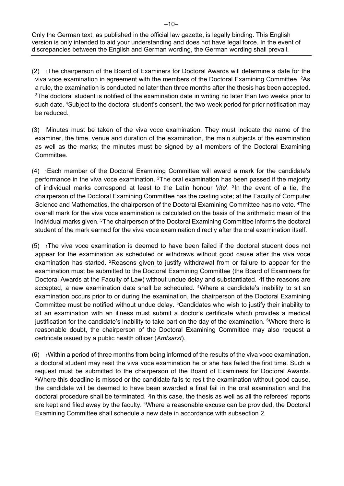- $(2)$  1The chairperson of the Board of Examiners for Doctoral Awards will determine a date for the viva voce examination in agreement with the members of the Doctoral Examining Committee. 2As a rule, the examination is conducted no later than three months after the thesis has been accepted. 3The doctoral student is notified of the examination date in writing no later than two weeks prior to such date. <sup>4</sup>Subject to the doctoral student's consent, the two-week period for prior notification may be reduced.
- (3) Minutes must be taken of the viva voce examination. They must indicate the name of the examiner, the time, venue and duration of the examination, the main subjects of the examination as well as the marks; the minutes must be signed by all members of the Doctoral Examining Committee.
- (4) 1Each member of the Doctoral Examining Committee will award a mark for the candidate's performance in the viva voce examination. <sup>2</sup>The oral examination has been passed if the majority of individual marks correspond at least to the Latin honour '*rite*'. 3In the event of a tie, the chairperson of the Doctoral Examining Committee has the casting vote; at the Faculty of Computer Science and Mathematics, the chairperson of the Doctoral Examining Committee has no vote. <sup>4</sup>The overall mark for the viva voce examination is calculated on the basis of the arithmetic mean of the individual marks given. <sup>5</sup>The chairperson of the Doctoral Examining Committee informs the doctoral student of the mark earned for the viva voce examination directly after the oral examination itself.
- $(5)$  1The viva voce examination is deemed to have been failed if the doctoral student does not appear for the examination as scheduled or withdraws without good cause after the viva voce examination has started. <sup>2</sup>Reasons given to justify withdrawal from or failure to appear for the examination must be submitted to the Doctoral Examining Committee (the Board of Examiners for Doctoral Awards at the Faculty of Law) without undue delay and substantiated. <sup>3</sup>If the reasons are accepted, a new examination date shall be scheduled. 4Where a candidate's inability to sit an examination occurs prior to or during the examination, the chairperson of the Doctoral Examining Committee must be notified without undue delay. 5Candidates who wish to justify their inability to sit an examination with an illness must submit a doctor's certificate which provides a medical justification for the candidate's inability to take part on the day of the examination. <sup>6</sup>Where there is reasonable doubt, the chairperson of the Doctoral Examining Committee may also request a certificate issued by a public health officer (*Amtsarzt*).
- $(6)$  1Within a period of three months from being informed of the results of the viva voce examination, a doctoral student may resit the viva voce examination he or she has failed the first time. Such a request must be submitted to the chairperson of the Board of Examiners for Doctoral Awards. <sup>2</sup>Where this deadline is missed or the candidate fails to resit the examination without good cause, the candidate will be deemed to have been awarded a final fail in the oral examination and the doctoral procedure shall be terminated. <sup>3</sup>In this case, the thesis as well as all the referees' reports are kept and filed away by the faculty. <sup>4</sup>Where a reasonable excuse can be provided, the Doctoral Examining Committee shall schedule a new date in accordance with subsection 2.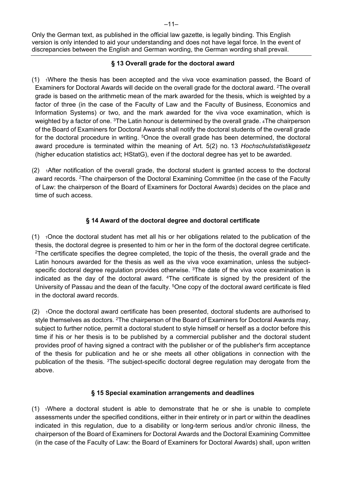## **§ 13 Overall grade for the doctoral award**

- $(1)$  1Where the thesis has been accepted and the viva voce examination passed, the Board of Examiners for Doctoral Awards will decide on the overall grade for the doctoral award. 2The overall grade is based on the arithmetic mean of the mark awarded for the thesis, which is weighted by a factor of three (in the case of the Faculty of Law and the Faculty of Business, Economics and Information Systems) or two, and the mark awarded for the viva voce examination, which is weighted by a factor of one. <sup>3</sup>The Latin honour is determined by the overall grade. 4The chairperson of the Board of Examiners for Doctoral Awards shall notify the doctoral students of the overall grade for the doctoral procedure in writing. <sup>5</sup>Once the overall grade has been determined, the doctoral award procedure is terminated within the meaning of Art. 5(2) no. 13 *Hochschulstatistikgesetz* (higher education statistics act; HStatG), even if the doctoral degree has yet to be awarded.
- $(2)$  1After notification of the overall grade, the doctoral student is granted access to the doctoral award records. <sup>2</sup>The chairperson of the Doctoral Examining Committee (in the case of the Faculty of Law: the chairperson of the Board of Examiners for Doctoral Awards) decides on the place and time of such access.

## **§ 14 Award of the doctoral degree and doctoral certificate**

- $(1)$  1Once the doctoral student has met all his or her obligations related to the publication of the thesis, the doctoral degree is presented to him or her in the form of the doctoral degree certificate.  $2$ The certificate specifies the degree completed, the topic of the thesis, the overall grade and the Latin honours awarded for the thesis as well as the viva voce examination, unless the subjectspecific doctoral degree regulation provides otherwise.  $3$ The date of the viva voce examination is indicated as the day of the doctoral award. <sup>4</sup>The certificate is signed by the president of the University of Passau and the dean of the faculty. <sup>5</sup>One copy of the doctoral award certificate is filed in the doctoral award records.
- $(2)$  1Once the doctoral award certificate has been presented, doctoral students are authorised to style themselves as doctors. <sup>2</sup>The chairperson of the Board of Examiners for Doctoral Awards may, subject to further notice, permit a doctoral student to style himself or herself as a doctor before this time if his or her thesis is to be published by a commercial publisher and the doctoral student provides proof of having signed a contract with the publisher or of the publisher's firm acceptance of the thesis for publication and he or she meets all other obligations in connection with the publication of the thesis. 3The subject-specific doctoral degree regulation may derogate from the above.

## **§ 15 Special examination arrangements and deadlines**

 $(1)$  1Where a doctoral student is able to demonstrate that he or she is unable to complete assessments under the specified conditions, either in their entirety or in part or within the deadlines indicated in this regulation, due to a disability or long-term serious and/or chronic illness, the chairperson of the Board of Examiners for Doctoral Awards and the Doctoral Examining Committee (in the case of the Faculty of Law: the Board of Examiners for Doctoral Awards) shall, upon written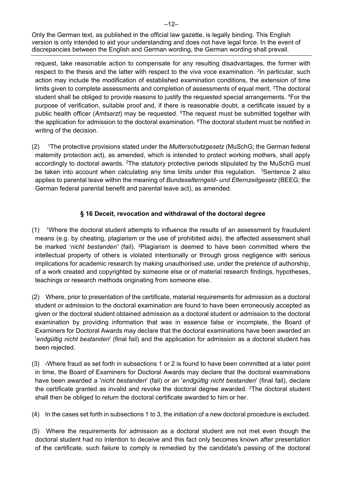request, take reasonable action to compensate for any resulting disadvantages, the former with respect to the thesis and the latter with respect to the viva voce examination. <sup>2</sup>In particular, such action may include the modification of established examination conditions, the extension of time limits given to complete assessments and completion of assessments of equal merit. 3The doctoral student shall be obliged to provide reasons to justify the requested special arrangements. <sup>4</sup>For the purpose of verification, suitable proof and, if there is reasonable doubt, a certificate issued by a public health officer (*Amtsarzt*) may be requested. 5The request must be submitted together with the application for admission to the doctoral examination. <sup>6</sup>The doctoral student must be notified in writing of the decision.

(2) 1The protective provisions stated under the *Mutterschutzgesetz* (MuSchG; the German federal maternity protection act), as amended, which is intended to protect working mothers, shall apply accordingly to doctoral awards. <sup>2</sup>The statutory protective periods stipulated by the MuSchG must be taken into account when calculating any time limits under this regulation.  $3$ Sentence 2 also applies to parental leave within the meaning of *Bundeselterngeld- und Elternzeitgesetz* (BEEG; the German federal parental benefit and parental leave act), as amended.

## **§ 16 Deceit, revocation and withdrawal of the doctoral degree**

- $(1)$  <sup>1</sup>Where the doctoral student attempts to influence the results of an assessment by fraudulent means (e.g. by cheating, plagiarism or the use of prohibited aids), the affected assessment shall be marked '*nicht bestanden'* (fail). 2Plagiarism is deemed to have been committed where the intellectual property of others is violated intentionally or through gross negligence with serious implications for academic research by making unauthorised use, under the pretence of authorship, of a work created and copyrighted by someone else or of material research findings, hypotheses, teachings or research methods originating from someone else.
- (2) Where, prior to presentation of the certificate, material requirements for admission as a doctoral student or admission to the doctoral examination are found to have been erroneously accepted as given or the doctoral student obtained admission as a doctoral student or admission to the doctoral examination by providing information that was in essence false or incomplete, the Board of Examiners for Doctoral Awards may declare that the doctoral examinations have been awarded an '*endgültig nicht bestanden*' (final fail) and the application for admission as a doctoral student has been rejected.
- $(3)$  1Where fraud as set forth in subsections 1 or 2 is found to have been committed at a later point in time, the Board of Examiners for Doctoral Awards may declare that the doctoral examinations have been awarded a '*nicht bestanden*' (fail) or an '*endgültig nicht bestanden*' (final fail), declare the certificate granted as invalid and revoke the doctoral degree awarded. <sup>2</sup>The doctoral student shall then be obliged to return the doctoral certificate awarded to him or her.
- (4) In the cases set forth in subsections 1 to 3, the initiation of a new doctoral procedure is excluded.
- (5) Where the requirements for admission as a doctoral student are not met even though the doctoral student had no intention to deceive and this fact only becomes known after presentation of the certificate, such failure to comply is remedied by the candidate's passing of the doctoral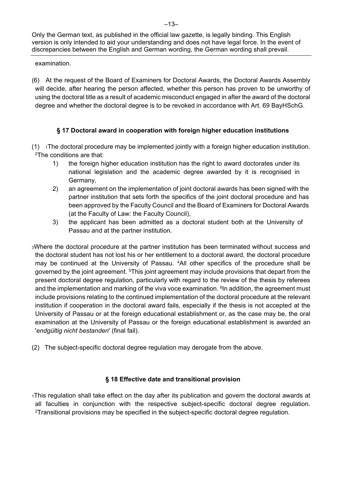examination.

(6) At the request of the Board of Examiners for Doctoral Awards, the Doctoral Awards Assembly will decide, after hearing the person affected, whether this person has proven to be unworthy of using the doctoral title as a result of academic misconduct engaged in after the award of the doctoral degree and whether the doctoral degree is to be revoked in accordance with Art. 69 BayHSchG.

## **§ 17 Doctoral award in cooperation with foreign higher education institutions**

- $(1)$  1The doctoral procedure may be implemented jointly with a foreign higher education institution. 2The conditions are that:
	- 1) the foreign higher education institution has the right to award doctorates under its national legislation and the academic degree awarded by it is recognised in Germany,
	- 2) an agreement on the implementation of joint doctoral awards has been signed with the partner institution that sets forth the specifics of the joint doctoral procedure and has been approved by the Faculty Council and the Board of Examiners for Doctoral Awards (at the Faculty of Law: the Faculty Council),
	- 3) the applicant has been admitted as a doctoral student both at the University of Passau and at the partner institution.
- 3Where the doctoral procedure at the partner institution has been terminated without success and the doctoral student has not lost his or her entitlement to a doctoral award, the doctoral procedure may be continued at the University of Passau. 4All other specifics of the procedure shall be governed by the joint agreement. 5This joint agreement may include provisions that depart from the present doctoral degree regulation, particularly with regard to the review of the thesis by referees and the implementation and marking of the viva voce examination.  $6$ In addition, the agreement must include provisions relating to the continued implementation of the doctoral procedure at the relevant institution if cooperation in the doctoral award fails, especially if the thesis is not accepted at the University of Passau or at the foreign educational establishment or, as the case may be, the oral examination at the University of Passau or the foreign educational establishment is awarded an '*endgültig nicht bestanden*' (final fail).
- (2) The subject-specific doctoral degree regulation may derogate from the above.

## **§ 18 Effective date and transitional provision**

1This regulation shall take effect on the day after its publication and govern the doctoral awards at all faculties in conjunction with the respective subject-specific doctoral degree regulation. 2Transitional provisions may be specified in the subject-specific doctoral degree regulation.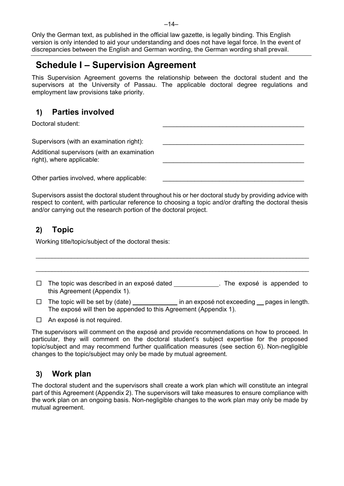# **Schedule I – Supervision Agreement**

This Supervision Agreement governs the relationship between the doctoral student and the supervisors at the University of Passau. The applicable doctoral degree regulations and employment law provisions take priority.

# **1) Parties involved**

Doctoral student:

Supervisors (with an examination right):

Additional supervisors (with an examination right), where applicable:

Other parties involved, where applicable:

Supervisors assist the doctoral student throughout his or her doctoral study by providing advice with respect to content, with particular reference to choosing a topic and/or drafting the doctoral thesis and/or carrying out the research portion of the doctoral project.

# **2) Topic**

Working title/topic/subject of the doctoral thesis:

 $\square$  The topic was described in an exposé dated . The exposé is appended to this Agreement (Appendix 1).

 $\mathcal{L}_\mathcal{L} = \{ \mathcal{L}_\mathcal{L} = \{ \mathcal{L}_\mathcal{L} = \{ \mathcal{L}_\mathcal{L} = \{ \mathcal{L}_\mathcal{L} = \{ \mathcal{L}_\mathcal{L} = \{ \mathcal{L}_\mathcal{L} = \{ \mathcal{L}_\mathcal{L} = \{ \mathcal{L}_\mathcal{L} = \{ \mathcal{L}_\mathcal{L} = \{ \mathcal{L}_\mathcal{L} = \{ \mathcal{L}_\mathcal{L} = \{ \mathcal{L}_\mathcal{L} = \{ \mathcal{L}_\mathcal{L} = \{ \mathcal{L}_\mathcal{$ 

 $\Box$  The topic will be set by (date) in an exposé not exceeding pages in length. The exposé will then be appended to this Agreement (Appendix 1).

 $\Box$  An exposé is not required.

The supervisors will comment on the exposé and provide recommendations on how to proceed. In particular, they will comment on the doctoral student's subject expertise for the proposed topic/subject and may recommend further qualification measures (see section 6). Non-negligible changes to the topic/subject may only be made by mutual agreement.

# **3) Work plan**

The doctoral student and the supervisors shall create a work plan which will constitute an integral part of this Agreement (Appendix 2). The supervisors will take measures to ensure compliance with the work plan on an ongoing basis. Non-negligible changes to the work plan may only be made by mutual agreement.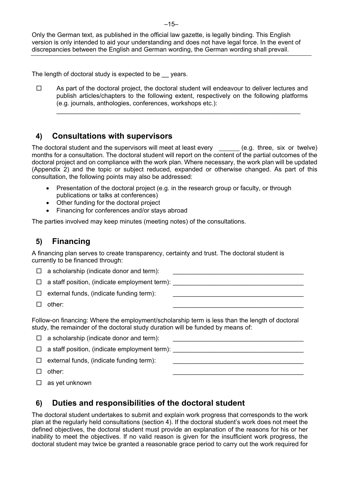The length of doctoral study is expected to be years.

 $\square$  As part of the doctoral project, the doctoral student will endeavour to deliver lectures and publish articles/chapters to the following extent, respectively on the following platforms (e.g. journals, anthologies, conferences, workshops etc.):

\_\_\_\_\_\_\_\_\_\_\_\_\_\_\_\_\_\_\_\_\_\_\_\_\_\_\_\_\_\_\_\_\_\_\_\_\_\_\_\_\_\_\_\_\_\_\_\_\_\_\_\_\_\_\_\_\_\_\_\_\_\_\_\_\_\_\_\_\_

## **4) Consultations with supervisors**

The doctoral student and the supervisors will meet at least every  $\quad \_ \_ \_ \_ \_ (e.g.$  three, six or twelve) months for a consultation. The doctoral student will report on the content of the partial outcomes of the doctoral project and on compliance with the work plan. Where necessary, the work plan will be updated (Appendix 2) and the topic or subject reduced, expanded or otherwise changed. As part of this consultation, the following points may also be addressed:

- Presentation of the doctoral project (e.g. in the research group or faculty, or through publications or talks at conferences)
- Other funding for the doctoral project
- Financing for conferences and/or stays abroad

The parties involved may keep minutes (meeting notes) of the consultations.

## **5) Financing**

A financing plan serves to create transparency, certainty and trust. The doctoral student is currently to be financed through:

|  | $\Box$ a scholarship (indicate donor and term): |  |
|--|-------------------------------------------------|--|
|  |                                                 |  |

 $\square$  a staff position, (indicate employment term):

- $\square$  external funds, (indicate funding term):
- $\Box$  other:  $\Box$

Follow-on financing: Where the employment/scholarship term is less than the length of doctoral study, the remainder of the doctoral study duration will be funded by means of:

 $\Box$  a scholarship (indicate donor and term):  $\Box$  a staff position, (indicate employment term):  $\square$  external funds, (indicate funding term):  $\Box$  other:  $\Box$ 

 $\square$  as yet unknown

# **6) Duties and responsibilities of the doctoral student**

The doctoral student undertakes to submit and explain work progress that corresponds to the work plan at the regularly held consultations (section 4). If the doctoral student's work does not meet the defined objectives, the doctoral student must provide an explanation of the reasons for his or her inability to meet the objectives. If no valid reason is given for the insufficient work progress, the doctoral student may twice be granted a reasonable grace period to carry out the work required for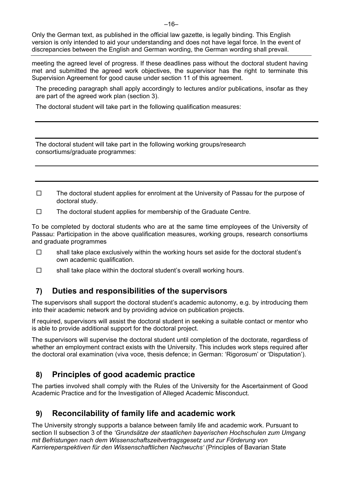meeting the agreed level of progress. If these deadlines pass without the doctoral student having met and submitted the agreed work objectives, the supervisor has the right to terminate this Supervision Agreement for good cause under section 11 of this agreement.

The preceding paragraph shall apply accordingly to lectures and/or publications, insofar as they are part of the agreed work plan (section 3).

The doctoral student will take part in the following qualification measures:

The doctoral student will take part in the following working groups/research consortiums/graduate programmes:

- $\square$  The doctoral student applies for enrolment at the University of Passau for the purpose of doctoral study.
- $\square$  The doctoral student applies for membership of the Graduate Centre.

To be completed by doctoral students who are at the same time employees of the University of Passau: Participation in the above qualification measures, working groups, research consortiums and graduate programmes

- $\square$  shall take place exclusively within the working hours set aside for the doctoral student's own academic qualification.
- $\square$  shall take place within the doctoral student's overall working hours.

# **7) Duties and responsibilities of the supervisors**

The supervisors shall support the doctoral student's academic autonomy, e.g. by introducing them into their academic network and by providing advice on publication projects.

If required, supervisors will assist the doctoral student in seeking a suitable contact or mentor who is able to provide additional support for the doctoral project.

The supervisors will supervise the doctoral student until completion of the doctorate, regardless of whether an employment contract exists with the University. This includes work steps required after the doctoral oral examination (viva voce, thesis defence; in German: 'Rigorosum' or 'Disputation').

# **8) Principles of good academic practice**

The parties involved shall comply with the Rules of the University for the Ascertainment of Good Academic Practice and for the Investigation of Alleged Academic Misconduct.

# **9) Reconcilability of family life and academic work**

The University strongly supports a balance between family life and academic work. Pursuant to section II subsection 3 of the *'Grundsätze der staatlichen bayerischen Hochschulen zum Umgang mit Befristungen nach dem Wissenschaftszeitvertragsgesetz und zur Förderung von Karriereperspektiven für den Wissenschaftlichen Nachwuchs'* (Principles of Bavarian State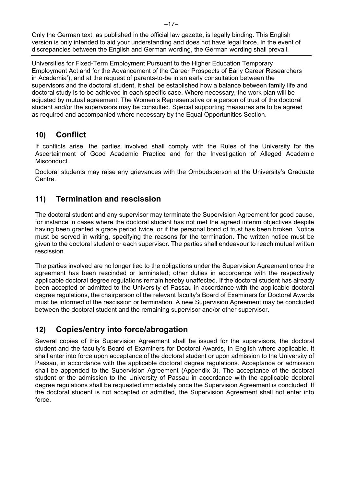Universities for Fixed-Term Employment Pursuant to the Higher Education Temporary Employment Act and for the Advancement of the Career Prospects of Early Career Researchers in Academia'), and at the request of parents-to-be in an early consultation between the supervisors and the doctoral student, it shall be established how a balance between family life and doctoral study is to be achieved in each specific case. Where necessary, the work plan will be adjusted by mutual agreement. The Women's Representative or a person of trust of the doctoral student and/or the supervisors may be consulted. Special supporting measures are to be agreed as required and accompanied where necessary by the Equal Opportunities Section.

# **10) Conflict**

If conflicts arise, the parties involved shall comply with the Rules of the University for the Ascertainment of Good Academic Practice and for the Investigation of Alleged Academic Misconduct.

Doctoral students may raise any grievances with the Ombudsperson at the University's Graduate Centre.

# **11) Termination and rescission**

The doctoral student and any supervisor may terminate the Supervision Agreement for good cause, for instance in cases where the doctoral student has not met the agreed interim objectives despite having been granted a grace period twice, or if the personal bond of trust has been broken. Notice must be served in writing, specifying the reasons for the termination. The written notice must be given to the doctoral student or each supervisor. The parties shall endeavour to reach mutual written rescission.

The parties involved are no longer tied to the obligations under the Supervision Agreement once the agreement has been rescinded or terminated; other duties in accordance with the respectively applicable doctoral degree regulations remain hereby unaffected. If the doctoral student has already been accepted or admitted to the University of Passau in accordance with the applicable doctoral degree regulations, the chairperson of the relevant faculty's Board of Examiners for Doctoral Awards must be informed of the rescission or termination. A new Supervision Agreement may be concluded between the doctoral student and the remaining supervisor and/or other supervisor.

# **12) Copies/entry into force/abrogation**

Several copies of this Supervision Agreement shall be issued for the supervisors, the doctoral student and the faculty's Board of Examiners for Doctoral Awards, in English where applicable. It shall enter into force upon acceptance of the doctoral student or upon admission to the University of Passau, in accordance with the applicable doctoral degree regulations. Acceptance or admission shall be appended to the Supervision Agreement (Appendix 3). The acceptance of the doctoral student or the admission to the University of Passau in accordance with the applicable doctoral degree regulations shall be requested immediately once the Supervision Agreement is concluded. If the doctoral student is not accepted or admitted, the Supervision Agreement shall not enter into force.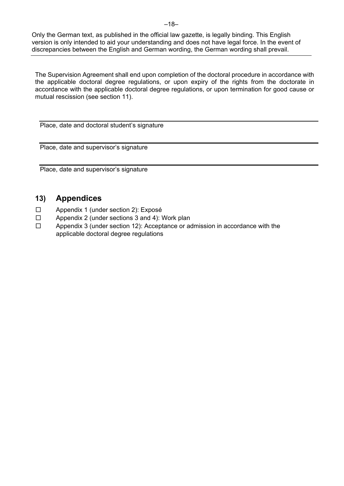The Supervision Agreement shall end upon completion of the doctoral procedure in accordance with the applicable doctoral degree regulations, or upon expiry of the rights from the doctorate in accordance with the applicable doctoral degree regulations, or upon termination for good cause or mutual rescission (see section 11).

Place, date and doctoral student's signature

Place, date and supervisor's signature

Place, date and supervisor's signature

# **13) Appendices**

- □ Appendix 1 (under section 2): Exposé
- □ Appendix 2 (under sections 3 and 4): Work plan
- □ Appendix 3 (under section 12): Acceptance or admission in accordance with the applicable doctoral degree regulations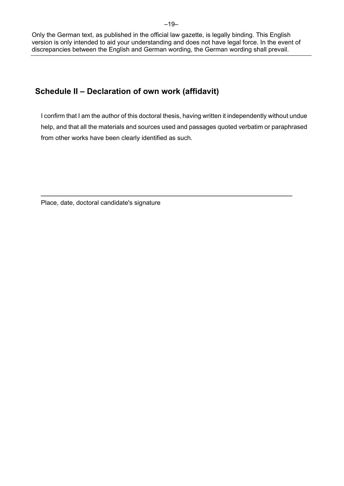## **Schedule II – Declaration of own work (affidavit)**

I confirm that I am the author of this doctoral thesis, having written it independently without undue help, and that all the materials and sources used and passages quoted verbatim or paraphrased from other works have been clearly identified as such.

Place, date, doctoral candidate's signature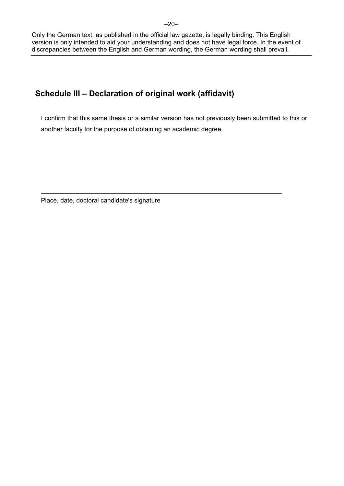# **Schedule III – Declaration of original work (affidavit)**

I confirm that this same thesis or a similar version has not previously been submitted to this or another faculty for the purpose of obtaining an academic degree.

Place, date, doctoral candidate's signature